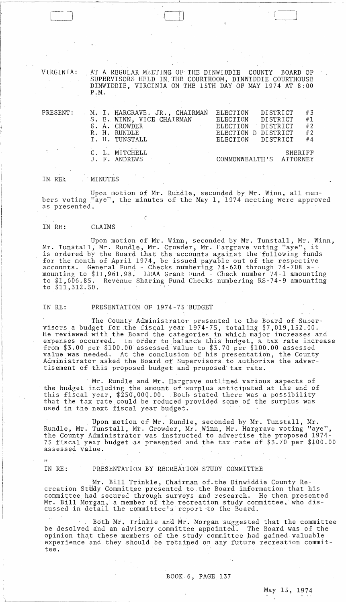VIRGINIA: . AT A REGULAR MEETING OF- THE DINWIDDIE COUNTY BOARD OF' SUPERVISORS HELD IN. THE COURTROOM, DINWIDDIE COURTHOUSE DINWIDDIE, VIRGINIA ON THE 15TH DAY OF MAY 1974 AT 8:00 P.M.

 $\Box$ 

| PRESENT:                                                                                                    | M. I. HARGRAVE, JR., CHAIRMAN<br>S, E. WINN, VICE CHAIRMAN<br>G. A. CROWDER<br>R. H. RUNDLE<br>T. H. TUNSTALL | DISTRICT<br>#3<br>ELECTION<br>#1<br>ELECTION DISTRICT<br>#2<br>DISTRICT<br>ELECTION<br>#2<br>ELECTION D DISTRICT<br>#4<br>ELECTION DISTRICT |
|-------------------------------------------------------------------------------------------------------------|---------------------------------------------------------------------------------------------------------------|---------------------------------------------------------------------------------------------------------------------------------------------|
| $\mathcal{H}_{\rm eff}$ and $\mathcal{H}_{\rm eff}$ and $\mathcal{H}_{\rm eff}$ and $\mathcal{H}_{\rm eff}$ | control of the control of the<br>C. L. MITCHELL<br>J. F. ANDREWS                                              | SHERIFF<br>COMMONWEALTH'S ATTORNEY                                                                                                          |

IN. RE:. (MINUTES

 $\mathcal{I}$ 

Upon motion of Mr. Rundle, seconded by Mr. Winn, all members voting "aye", the minutes of the May 1, 1974 meeting were approved as presented.

### IN RE: CLAIMS

Upon motion of Mr. Winn, seconded by Mr. Tunstall, Mr. Winn, Mr. Tunstall, Mr. Rundle, Mr. Crowder, Mr. Hargrave voting "aye", it is ordered by the Board that the accounts against the following funds for the month of April 1974, be issued payable out of the respective accounts. General Fund - Checks numbering 74-620 through 74-708 amounting to \$11,961.98. LEAA Grant Fund ~ Check number 74-1 amounting to \$1,606.85. Revenue Sharing Fund Checks numbering RS-74-9 amounting to  $$11,512.50.$ 

## IN RE: PRESENTATION OF 1974-75 BUDGBT

 $\mathcal C$ 

The County Administrator presented to the Board of Supervisors a budget for the fiscal year 1974-75, totaling \$7,019,152.00. He reviewed with the Board the categories in which major increases and expenses occurred. In order to balance this budget, a tax rate increase from \$3.00 per \$100.00 assessed value to \$3.70 per \$100.00 assessed value was needed. At the conclusion of his presentation, the County Administrator asked the Board of Supervisors to authorize the advertisement of this proposed budget and proposed tax rate.

Mr. Rundle and Mr. Hargrave outlined various aspects of the budget including the amount of surplus anticipated at the end of this fiscal year, \$250,000.00. Both stated there was a possibility that the tax rate could be reduced provided some of the surplus was used in the next fiscal year budget.

Upon motion of Mr. Rundle, seconded by Mr. Tunstall, Mr. Rundle, Mr. Tunstall, Mr. Crowder, Mr. Winn, Mr. Hargrave voting "aye", the County Administrator was instructed to advertise the proposed 1974- 75 fiscal year budget as presented and the tax rate of \$3.70 per \$lOO.OO assessed value.

 $73$ 

#### IN RE: PRESENTATION BY RECREATION STUDY COMMITTEE

 $\mathcal{F}(\mathcal{A})$  .

Mr. Bill Trinkle, Chairman of-the Dinwiddie County Recreation Study Committee presented to the Board information that his committee had secured through surveys and research. He then presented Mr. Bill Morgan, a member of-the recreation study committee, who discussed in detail the committee's report to the Board.

Both Mr. Trinkle and Mr. Morgan suggested that the committee be desolved and an advisory committee appointed. The Board was of the opinion that these members of the study committee had gained valuable experience and they should be retained on any future recreation committee.

 $\Delta$ 

 $\sim$  .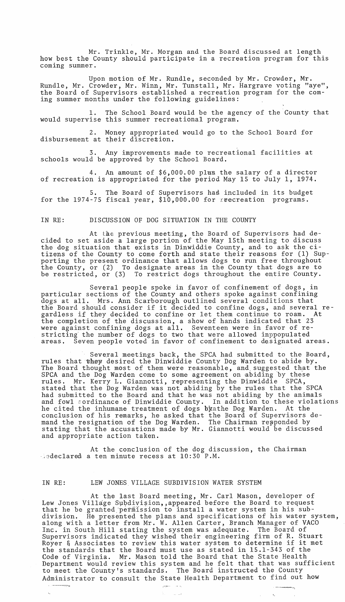Mr. Trinkle, Mr. Morgan and the Board discussed at length how best the County should participate in a recreation program for this coming summer.

Upon motion of Mr. Rundle, seconded by Mr. Crowder, Mr. Rundle, Mr. Crowder, Mr. Winn, Mr. Tunstall, Mr. Hargrave voting "aye", the Board of Supervisors established a recreation program for the coming summer months under the following guidelines:

1. The School Board would be the agency of the County that would supervise this summer recreational program.

2. Money appropriated would go to the School Board for disbursement at their discretion.

3. Any improvements made to recreational facilities at schools would be approved by the School Board.

4. An amount of \$6,000.00 plus the salary of a director of recreation is appropriated for the period May 15 to July 1, 1974.

The Board of Supervisors had included in its budget for the 1974-75 fiscal year,  $$10,000.00$  for reecreation programs.

### IN RE: DISCUSSION OF DOG SITUATION IN THE COUNTY

At the previous meeting, the Board of Supervisors had decided to set aside a large portion of the May 15th meeting to discuss the dog situation that exists in Dinwiddie County, and to ask the citizens of the County to come forth and state their reasons for (1) Supporting the present ordinance that allows dogs to run free throughout the County, or (2) To designate areas in the County that dogs are to be restricted, or (3) To restrict dogs throughout the entire County.

Several people spoke in favor of confinement of dogs, in particular sections of the County and others spoke against confining dogs at all. Mrs. Ann Scarborough outlined several conditions that the Board should consider if it decided to confine dogs, and several regardless if they decided to confine or let them continue to roam. At the completion of the discussion, a show of hands indicated that 23 were against confining dogs at all. Seventeen were in favor of restricting the number of dogs to two that were allowed inppopulated areas. Seven people voted in favor of confinement to designated areas.

Several meetings back, the SPCA had submitted to the Board, rules that whey desired the Dinwiddie County Dog Warden to abide by. The Board thought most of them were reasonable, and, suggested that the SPCA and the Dog Warden come to some agreement on abiding by these rules. Mr. Kerry L. Giannotti, representing the Dinwiddie SPCA, stated that the Dog Warden was not abiding by the rules that the SPCA had submitted to the Board and that he was not abiding by the animals and fowl cordinance of Dinwiddie County. In addition to these violations he cited the inhumane treatment of dogs byathe Dog Warden. At the conclusion of his remarks, he asked that the Board of Supervisors demand the resignation of the Dog Warden. The Chairman repponded by stating that the accusations made by Mr. Giannotti would be discussed and appropriate action taken.

At the conclusion of the dog discussion, the Chairman  $\rightarrow$ 2declared a ten minute recess at 10:30 P.M.

 $\mathbf{L}^{\left(1\right)}$ 

#### IN RE: LEW JONES. VILLAGE SUBDIVISION WATER SYSTEM

 $\overline{C^{\bullet}}{}^{\mu\nu}$  , and  $\tilde{\lambda}_{\alpha} = \frac{1}{\sqrt{2}} \frac{1}{\sqrt{2}} \tilde{\lambda}_{\alpha} \tilde{\lambda}_{\beta}$ 

At the last Board meeting, Mr. Carl Mason, developer of Lew Jones Village Subdivision,, appeared before the Board to request that he be granted permission to install a water system in his subdivision. He presented the plans and specifications of his water system, along with a letter from Mr. W. Allen Carter, Branch Manager of VACO Inc. in South Hill stating the system was adequate. The Board of Supervisors indicated they wished their engineering firm of R. Stuart Royer & Associates to review this water system to determine if it met the standards that the Board must use as stated in 15.1-343 of the Code of Virginia. Mr. Mason told the Board that the State Health Department would review this system and he felt that that was sufficient to meet the County's standards. The Board instructed the County Administrator to consult the State Health Department to find out how

-\_ .. \_----,j

 $\label{eq:2.1} \mathcal{L}_{\text{max}} = \mathcal{L}_{\text{max}} = \mathcal{L}_{\text{max}}$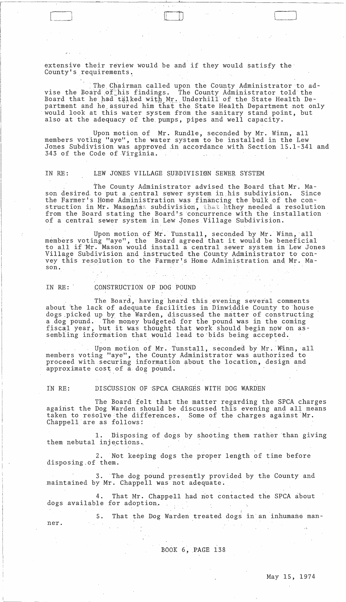extensive their review would be and if they would satisfy the County's requirements.

The Chairman called upon the County Administrator to advise the Board of his findings. The County Administrator told the Board that he had talked with Mr. Underhill of the State Health Department and he assured him that the State Health Department not only would look at this water system from the sanitary stand point, but also at the adequacy of the, pumps, pipes and well capacity.

Upon motion of Mr. Rundle, seconded by Mr. Winn, all members voting "aye", the water system to be installed in the Lew Jones Subdivision was approved in accordance with Section 15.1-341 and 343 of the Code of Virginia.

# IN RE: LEW JONES VILLAGE SUBDIVISI0N SEWER SYSTEM,

The County Administrator advised the Board that Mr. Mason desired to put a central sewer system in his subdivision. Since the Farmer's Home Administration was financing the bulk of the construction in Mr. Masoniss subdivision, that hthey needed a resolution from the Board stating the Board's concurrence with the installation of a central sewer system in Lew Jones Village Subdivision.

Upon motion of Mr. Tunstall, seconded by Mr. Winn, all members voting "aye", the Board agreed that it would he beneficial to all if *NT.* Mason would install a central sewer system in Lew Jones Village Subdivision and instructed the County Administrator to convey this resolution to the Farmer's Home Administration and Mr. Mason.

IN RE: CONSTRUCTION OF DOG POUND

 $\Box$ 

The Board, having heard this evening several comments about the lack of adequate facilities in Dinwiddie County to house dogs picked up by the Warden, discussed the matter of constructing a dog pound. The money budgeted for the pound was in the coming fiscal year, but it was thought that work should begin now on as-<br>sembling information that would lead to bids being accepted. IN KE: CONSIKUCIION OF DOG POOND<br>The Board, having heard this evening several comm<br>about the lack of adequate facilities in Dinwiddie County to<br>dogs picked up by the Warden, discussed the matter of constr<br>a dog pound. The

Upon motion of Mr. Tunstall, seconded by Mr. Winn, all members voting "aye", the County Administrator was authorized to proceed with securing information about the location, design and approximate  $cost$  of  $a$  dog pound.

IN RE: DISCUSSION OF SPCA CHARGES WITH DOG WARDEN

 $\frac{1}{\sqrt{2}}$ 

 $\sim$ 

The Board felt that the matter regarding the SPCA charges against the Dog Warden should be discussed this evening and all means taken to resolve the differences. Some of the charges against  $Mr$ . Chappell are as follows:

1. Disposing of dogs by shooting them rather than giving them nebutal injections.

2. Not keeping dogs the proper length of time before disposing.of them.

3. The dog pound presently provided by the County and maintained by Mr. Chappell was not adequate.

4. That Mr. Chappell had not contacted the SPCA about dogs available for adoption.

5. That the Dog Warden treated dogs in'an inhumane manner.

BOOK 6, PAGE 138

 $\langle \cdot, \cdot \rangle$ 

 $\sim 10$